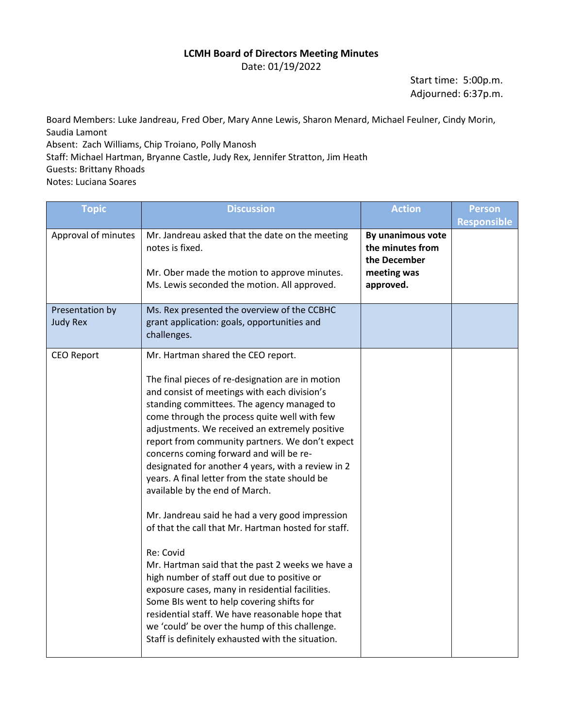## **LCMH Board of Directors Meeting Minutes**

Date: 01/19/2022

Start time: 5:00p.m. Adjourned: 6:37p.m.

Board Members: Luke Jandreau, Fred Ober, Mary Anne Lewis, Sharon Menard, Michael Feulner, Cindy Morin, Saudia Lamont

Absent: Zach Williams, Chip Troiano, Polly Manosh Staff: Michael Hartman, Bryanne Castle, Judy Rex, Jennifer Stratton, Jim Heath Guests: Brittany Rhoads

Notes: Luciana Soares

| <b>Topic</b>                       | <b>Discussion</b>                                                                                                                                                                                                                                                                                                                                                                                                                                                                                                                                                                                                                                                                                                                                                                                                                                                                                                                                                                                                  | <b>Action</b>                                                                     | <b>Person</b>      |
|------------------------------------|--------------------------------------------------------------------------------------------------------------------------------------------------------------------------------------------------------------------------------------------------------------------------------------------------------------------------------------------------------------------------------------------------------------------------------------------------------------------------------------------------------------------------------------------------------------------------------------------------------------------------------------------------------------------------------------------------------------------------------------------------------------------------------------------------------------------------------------------------------------------------------------------------------------------------------------------------------------------------------------------------------------------|-----------------------------------------------------------------------------------|--------------------|
| Approval of minutes                | Mr. Jandreau asked that the date on the meeting<br>notes is fixed.<br>Mr. Ober made the motion to approve minutes.<br>Ms. Lewis seconded the motion. All approved.                                                                                                                                                                                                                                                                                                                                                                                                                                                                                                                                                                                                                                                                                                                                                                                                                                                 | By unanimous vote<br>the minutes from<br>the December<br>meeting was<br>approved. | <b>Responsible</b> |
| Presentation by<br><b>Judy Rex</b> | Ms. Rex presented the overview of the CCBHC<br>grant application: goals, opportunities and<br>challenges.                                                                                                                                                                                                                                                                                                                                                                                                                                                                                                                                                                                                                                                                                                                                                                                                                                                                                                          |                                                                                   |                    |
| <b>CEO Report</b>                  | Mr. Hartman shared the CEO report.<br>The final pieces of re-designation are in motion<br>and consist of meetings with each division's<br>standing committees. The agency managed to<br>come through the process quite well with few<br>adjustments. We received an extremely positive<br>report from community partners. We don't expect<br>concerns coming forward and will be re-<br>designated for another 4 years, with a review in 2<br>years. A final letter from the state should be<br>available by the end of March.<br>Mr. Jandreau said he had a very good impression<br>of that the call that Mr. Hartman hosted for staff.<br>Re: Covid<br>Mr. Hartman said that the past 2 weeks we have a<br>high number of staff out due to positive or<br>exposure cases, many in residential facilities.<br>Some BIs went to help covering shifts for<br>residential staff. We have reasonable hope that<br>we 'could' be over the hump of this challenge.<br>Staff is definitely exhausted with the situation. |                                                                                   |                    |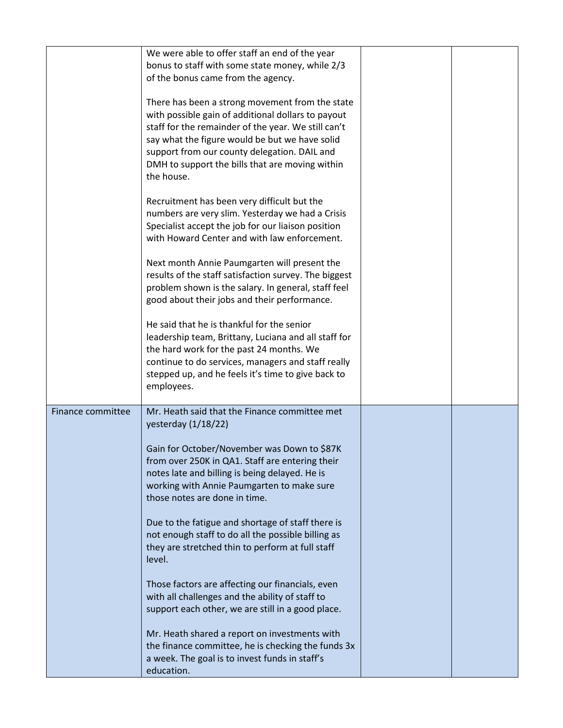|                   | We were able to offer staff an end of the year<br>bonus to staff with some state money, while 2/3<br>of the bonus came from the agency.                                                                                                                                                                                         |  |
|-------------------|---------------------------------------------------------------------------------------------------------------------------------------------------------------------------------------------------------------------------------------------------------------------------------------------------------------------------------|--|
|                   | There has been a strong movement from the state<br>with possible gain of additional dollars to payout<br>staff for the remainder of the year. We still can't<br>say what the figure would be but we have solid<br>support from our county delegation. DAIL and<br>DMH to support the bills that are moving within<br>the house. |  |
|                   | Recruitment has been very difficult but the<br>numbers are very slim. Yesterday we had a Crisis<br>Specialist accept the job for our liaison position<br>with Howard Center and with law enforcement.                                                                                                                           |  |
|                   | Next month Annie Paumgarten will present the<br>results of the staff satisfaction survey. The biggest<br>problem shown is the salary. In general, staff feel<br>good about their jobs and their performance.                                                                                                                    |  |
|                   | He said that he is thankful for the senior<br>leadership team, Brittany, Luciana and all staff for<br>the hard work for the past 24 months. We<br>continue to do services, managers and staff really<br>stepped up, and he feels it's time to give back to                                                                      |  |
|                   | employees.                                                                                                                                                                                                                                                                                                                      |  |
| Finance committee | Mr. Heath said that the Finance committee met<br>yesterday $(1/18/22)$                                                                                                                                                                                                                                                          |  |
|                   | Gain for October/November was Down to \$87K<br>from over 250K in QA1. Staff are entering their<br>notes late and billing is being delayed. He is<br>working with Annie Paumgarten to make sure<br>those notes are done in time.                                                                                                 |  |
|                   | Due to the fatigue and shortage of staff there is<br>not enough staff to do all the possible billing as<br>they are stretched thin to perform at full staff<br>level.                                                                                                                                                           |  |
|                   | Those factors are affecting our financials, even<br>with all challenges and the ability of staff to<br>support each other, we are still in a good place.                                                                                                                                                                        |  |
|                   | Mr. Heath shared a report on investments with<br>the finance committee, he is checking the funds 3x<br>a week. The goal is to invest funds in staff's<br>education.                                                                                                                                                             |  |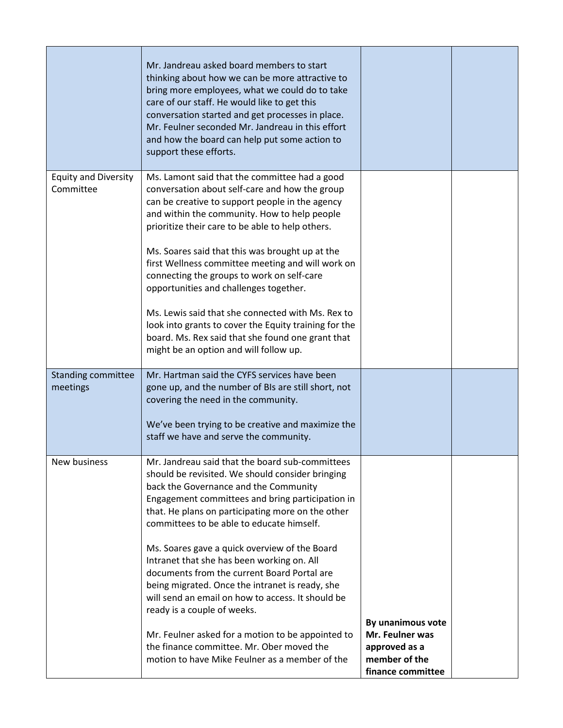|                                          | Mr. Jandreau asked board members to start<br>thinking about how we can be more attractive to<br>bring more employees, what we could do to take<br>care of our staff. He would like to get this<br>conversation started and get processes in place.<br>Mr. Feulner seconded Mr. Jandreau in this effort<br>and how the board can help put some action to<br>support these efforts.                                                                                                                                                                                                                                                                                   |                                                       |  |
|------------------------------------------|---------------------------------------------------------------------------------------------------------------------------------------------------------------------------------------------------------------------------------------------------------------------------------------------------------------------------------------------------------------------------------------------------------------------------------------------------------------------------------------------------------------------------------------------------------------------------------------------------------------------------------------------------------------------|-------------------------------------------------------|--|
| <b>Equity and Diversity</b><br>Committee | Ms. Lamont said that the committee had a good<br>conversation about self-care and how the group<br>can be creative to support people in the agency<br>and within the community. How to help people<br>prioritize their care to be able to help others.<br>Ms. Soares said that this was brought up at the<br>first Wellness committee meeting and will work on<br>connecting the groups to work on self-care<br>opportunities and challenges together.<br>Ms. Lewis said that she connected with Ms. Rex to<br>look into grants to cover the Equity training for the<br>board. Ms. Rex said that she found one grant that<br>might be an option and will follow up. |                                                       |  |
| <b>Standing committee</b><br>meetings    | Mr. Hartman said the CYFS services have been<br>gone up, and the number of BIs are still short, not<br>covering the need in the community.<br>We've been trying to be creative and maximize the<br>staff we have and serve the community.                                                                                                                                                                                                                                                                                                                                                                                                                           |                                                       |  |
| New business                             | Mr. Jandreau said that the board sub-committees<br>should be revisited. We should consider bringing<br>back the Governance and the Community<br>Engagement committees and bring participation in<br>that. He plans on participating more on the other<br>committees to be able to educate himself.<br>Ms. Soares gave a quick overview of the Board                                                                                                                                                                                                                                                                                                                 |                                                       |  |
|                                          | Intranet that she has been working on. All<br>documents from the current Board Portal are<br>being migrated. Once the intranet is ready, she<br>will send an email on how to access. It should be<br>ready is a couple of weeks.<br>Mr. Feulner asked for a motion to be appointed to<br>the finance committee. Mr. Ober moved the                                                                                                                                                                                                                                                                                                                                  | By unanimous vote<br>Mr. Feulner was<br>approved as a |  |
|                                          | motion to have Mike Feulner as a member of the                                                                                                                                                                                                                                                                                                                                                                                                                                                                                                                                                                                                                      | member of the<br>finance committee                    |  |